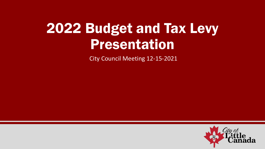# 2022 Budget and Tax Levy Presentation

City Council Meeting 12-15-2021

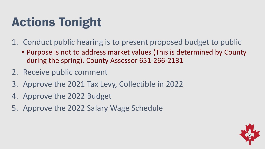# Actions Tonight

- 1. Conduct public hearing is to present proposed budget to public
	- Purpose is not to address market values (This is determined by County during the spring). County Assessor 651-266-2131
- 2. Receive public comment
- 3. Approve the 2021 Tax Levy, Collectible in 2022
- 4. Approve the 2022 Budget
- 5. Approve the 2022 Salary Wage Schedule

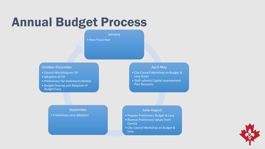### Annual Budget Process

January

• New Fiscal Year

#### October-December

- Council Workshop on CIP
- Adoption of CIP
- Preliminary Tax Statements Mailed

September

• Preliminary Levy Adoption

• Budget Hearing and Adoption of Budget/Levy

#### April-May

- City Council Workshop on Budget & Levy Goals
- Staff submits Capital Improvement Plan Requests

#### June-August

- Prepare Preliminary Budget & Levy
- Receive Preliminary Values from County
- City Council Workshop on Budget & Levy

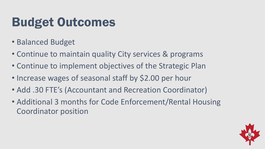## Budget Outcomes

- Balanced Budget
- Continue to maintain quality City services & programs
- Continue to implement objectives of the Strategic Plan
- Increase wages of seasonal staff by \$2.00 per hour
- Add .30 FTE's (Accountant and Recreation Coordinator)
- Additional 3 months for Code Enforcement/Rental Housing Coordinator position

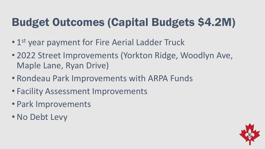#### Budget Outcomes (Capital Budgets \$4.2M)

- 1<sup>st</sup> year payment for Fire Aerial Ladder Truck
- 2022 Street Improvements (Yorkton Ridge, Woodlyn Ave, Maple Lane, Ryan Drive)
- Rondeau Park Improvements with ARPA Funds
- Facility Assessment Improvements
- Park Improvements
- No Debt Levy

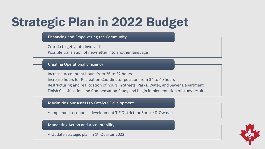## Strategic Plan in 2022 Budget

Enhancing and Empowering the Community

Criteria to get youth involved

Possible translation of newsletter into another language

#### Creating Operational Efficiency

Increase Accountant hours from 26 to 32 hours Increase hours for Recreation Coordinator position from 34 to 40 hours Restructuring and reallocation of hours in Streets, Parks, Water, and Sewer Department Finish Classification and Compensation Study and begin implementation of study results

Maximizing our Assets to Catalyze Development

• Implement economic development TIF District for Spruce & Owasso

Mandating Action and Accountability

• Update strategic plan in 1<sup>st</sup> Quarter 2022

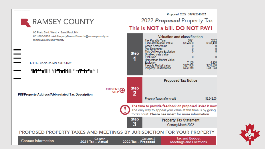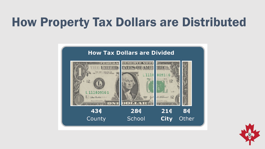### How Property Tax Dollars are Distributed



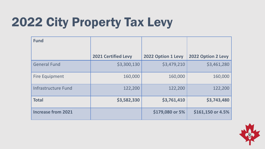# 2022 City Property Tax Levy

| <b>Fund</b>               |                            |                    |                    |
|---------------------------|----------------------------|--------------------|--------------------|
|                           | <b>2021 Certified Levy</b> | 2022 Option 1 Levy | 2022 Option 2 Levy |
| <b>General Fund</b>       | \$3,300,130                | \$3,479,210        | \$3,461,280        |
| <b>Fire Equipment</b>     | 160,000                    | 160,000            | 160,000            |
| Infrastructure Fund       | 122,200                    | 122,200            | 122,200            |
| <b>Total</b>              | \$3,582,330                | \$3,761,410        | \$3,743,480        |
| <b>Increase from 2021</b> |                            | \$179,080 or 5%    | $$161,150$ or 4.5% |

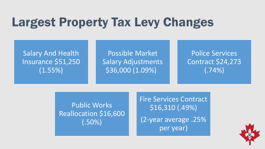### Largest Property Tax Levy Changes

Salary And Health Insurance \$51,250 (1.55%)

Possible Market Salary Adjustments \$36,000 (1.09%)

Police Services Contract \$24,273 (.74%)

Public Works Reallocation \$16,600 (.50%)

Fire Services Contract \$16,310 (.49%) (2-year average .25% per year)

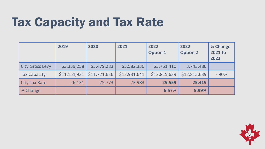### Tax Capacity and Tax Rate

|                        | 2019         | 2020         | 2021         | 2022<br><b>Option 1</b> | 2022<br><b>Option 2</b> | % Change<br>2021 to<br>2022 |
|------------------------|--------------|--------------|--------------|-------------------------|-------------------------|-----------------------------|
| <b>City Gross Levy</b> | \$3,339,258  | \$3,479,283  | \$3,582,330  | \$3,761,410             | 3,743,480               |                             |
| <b>Tax Capacity</b>    | \$11,151,931 | \$11,721,626 | \$12,931,641 | \$12,815,639            | \$12,815,639            | $-.90%$                     |
| <b>City Tax Rate</b>   | 26.131       | 25.773       | 23.983       | 25.559                  | 25.419                  |                             |
| % Change               |              |              |              | 6.57%                   | 5.99%                   |                             |

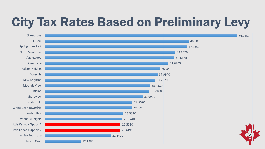# City Tax Rates Based on Preliminary Levy

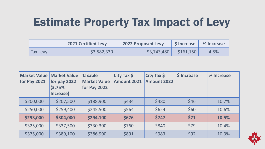#### Estimate Property Tax Impact of Levy

|                 | <b>2021 Certified Levy</b> | <b>2022 Proposed Levy</b> |                      | Sincrease   % Increase |
|-----------------|----------------------------|---------------------------|----------------------|------------------------|
| <b>Tax Levy</b> | \$3,582,330                | \$3,743,480               | $\frac{1}{5161,150}$ | 4.5%                   |

| <b>Market Value</b><br>for Pay 2021 | <b>Market Value</b><br>for pay 2022<br>(3.75%<br>Increase) | <b>Taxable</b><br><b>Market Value</b><br>for Pay 2022 | City Tax $\oint$<br><b>Amount 2021</b> | City Tax $\oint$<br><b>Amount 2022</b> | <b>S</b> Increase | % Increase |
|-------------------------------------|------------------------------------------------------------|-------------------------------------------------------|----------------------------------------|----------------------------------------|-------------------|------------|
| \$200,000                           | \$207,500                                                  | \$188,900                                             | \$434                                  | \$480                                  | \$46              | 10.7%      |
| \$250,000                           | \$259,400                                                  | \$245,500                                             | \$564                                  | \$624                                  | \$60              | 10.6%      |
| \$293,000                           | \$304,000                                                  | \$294,100                                             | \$676                                  | \$747                                  | \$71              | 10.5%      |
| \$325,000                           | \$337,500                                                  | \$330,300                                             | \$760                                  | \$840                                  | \$79              | 10.4%      |
| \$375,000                           | \$389,100                                                  | \$386,900                                             | \$891                                  | \$983                                  | \$92              | 10.3%      |

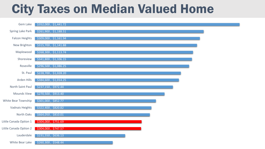#### City Taxes on Median Valued Home

| Gem Lake               | \$352,000, \$1,441.72 |
|------------------------|-----------------------|
| Spring Lake Park       | \$261,900, \$1,188.51 |
| <b>Falcon Heights</b>  | \$309,000, \$1,161.94 |
| New Brighton           | \$315,700, \$1,141.88 |
| Maplewood              | \$268,300, \$1,113.74 |
| Shoreview              | \$341,800, \$1,106.15 |
| Roseville              | \$296,500, \$1,086.25 |
| St. Paul               | \$228,700, \$1,028.20 |
| Arden Hills            | \$384,600, \$1,014.25 |
| North Saint Paul       | \$237,150, \$972.44   |
| <b>Mounds View</b>     | \$270,500, \$913.40   |
| White Bear Township    | \$301,000, \$852.77   |
| Vadnais Heights        | \$322,400, \$820.82   |
| North Oaks             | \$664,050, \$810.01   |
| Little Canada Option 1 | \$304,000, \$751.69   |
| Little Canada Option 2 | \$304,000, \$747.57   |
| Lauderdale             | \$231,550, \$636.13   |
| White Bear Lake        | \$260,300, \$548.44   |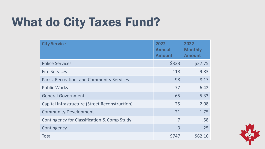## What do City Taxes Fund?

| <b>City Service</b>                            | 2022<br><b>Annual</b><br><b>Amount</b> | 2022<br><b>Monthly</b><br><b>Amount</b> |
|------------------------------------------------|----------------------------------------|-----------------------------------------|
| <b>Police Services</b>                         | \$333                                  | \$27.75                                 |
| <b>Fire Services</b>                           | 118                                    | 9.83                                    |
| Parks, Recreation, and Community Services      | 98                                     | 8.17                                    |
| <b>Public Works</b>                            | 77                                     | 6.42                                    |
| <b>General Government</b>                      | 65                                     | 5.33                                    |
| Capital Infrastructure (Street Reconstruction) | 25                                     | 2.08                                    |
| <b>Community Development</b>                   | 21                                     | 1.75                                    |
| Contingency for Classification & Comp Study    | $\overline{7}$                         | .58                                     |
| Contingency                                    | 3                                      | .25                                     |
| <b>Total</b>                                   | \$747                                  | \$62.16                                 |

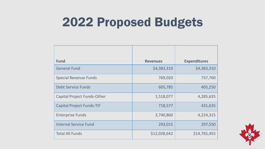### 2022 Proposed Budgets

| <b>Fund</b>                        | <b>Revenues</b> | <b>Expenditures</b> |
|------------------------------------|-----------------|---------------------|
| <b>General Fund</b>                | \$4,383,310     | \$4,383,310         |
| <b>Special Revenue Funds</b>       | 769,020         | 737,760             |
| <b>Debt Service Funds</b>          | 605,785         | 405,250             |
| <b>Capital Project Funds-Other</b> | 1,518,077       | 4,285,635           |
| <b>Capital Project Funds-TIF</b>   | 718,577         | 431,635             |
| <b>Enterprise Funds</b>            | 3,740,860       | 4,224,315           |
| <b>Internal Service Fund</b>       | 293,015         | 297,550             |
| <b>Total All Funds</b>             | \$12,028,642    | \$14,765,455        |

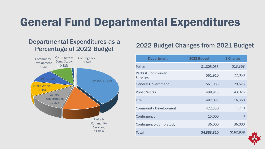#### General Fund Departmental Expenditures

#### Departmental Expenditures as a Percentage of 2022 Budget



#### 2022 Budget Changes from 2021 Budget

| <b>Department</b>                    | 2022 Budget | \$ Change |
|--------------------------------------|-------------|-----------|
| Police                               | \$1,805,055 | \$13,368  |
| Parks & Community<br><b>Services</b> | 561,910     | 22,050    |
| <b>General Government</b>            | 561,985     | 29,525    |
| <b>Public Works</b>                  | 498,915     | 43,925    |
| <b>Fire</b>                          | 482,095     | 16,360    |
| <b>Community Development</b>         | 422,350     | 1,710     |
| Contingency                          | 15,000      | O         |
| Contingency-Comp Study               | 36,000      | 36,000    |
| Total                                | \$4,383,310 | \$162,938 |

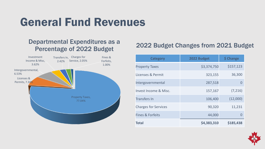#### General Fund Revenues

#### Departmental Expenditures as a Percentage of 2022 Budget



#### 2022 Budget Changes from 2021 Budget

| <b>Category</b>             | 2022 Budget | \$ Change |
|-----------------------------|-------------|-----------|
| <b>Property Taxes</b>       | \$3,374,750 | \$157,123 |
| Licenses & Permit           | 323,155     | 36,300    |
| Intergovernmental           | 287,518     |           |
| Invest Income & Misc.       | 157,167     | (7, 216)  |
| <b>Transfers In</b>         | 106,400     | (12,000)  |
| <b>Charges for Services</b> | 90,320      | 11,231    |
| <b>Fines &amp; Forfeits</b> | 44,000      | 0         |
| Total                       | \$4,383,310 | \$185,438 |

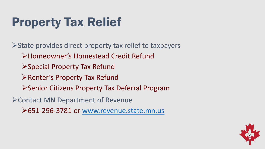# Property Tax Relief

State provides direct property tax relief to taxpayers Homeowner's Homestead Credit Refund ▶ Special Property Tax Refund **Example 1 Property Tax Refund** ▶ Senior Citizens Property Tax Deferral Program Contact MN Department of Revenue

651-296-3781 or [www.revenue.state.mn.us](http://www.revenue.state.mn.us/)